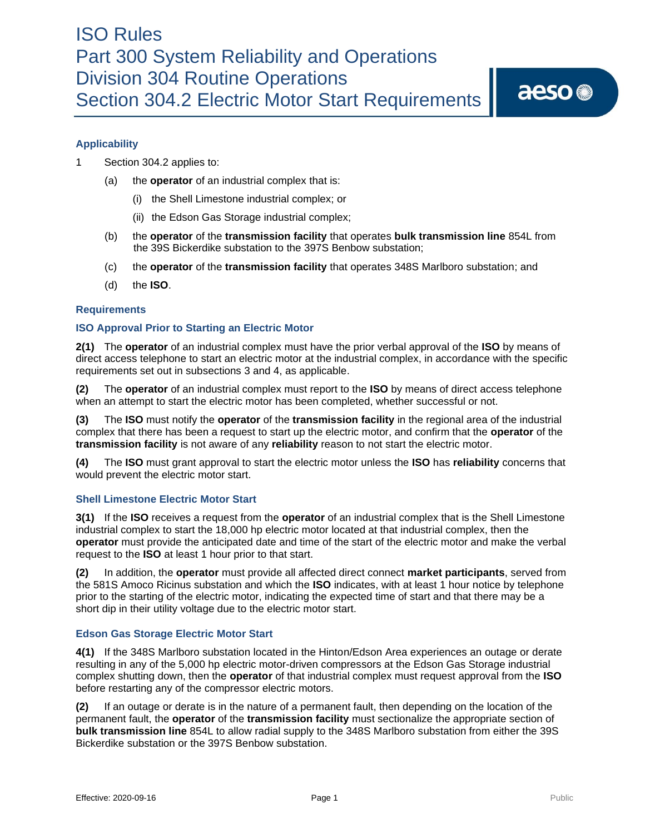## **Applicability**

- 1 Section 304.2 applies to:
	- (a) the **operator** of an industrial complex that is:
		- (i) the Shell Limestone industrial complex; or
		- (ii) the Edson Gas Storage industrial complex;
	- (b) the **operator** of the **transmission facility** that operates **bulk transmission line** 854L from the 39S Bickerdike substation to the 397S Benbow substation;
	- (c) the **operator** of the **transmission facility** that operates 348S Marlboro substation; and
	- (d) the **ISO**.

### **Requirements**

## **ISO Approval Prior to Starting an Electric Motor**

**2(1)** The **operator** of an industrial complex must have the prior verbal approval of the **ISO** by means of direct access telephone to start an electric motor at the industrial complex, in accordance with the specific requirements set out in subsections 3 and 4, as applicable.

**(2)** The **operator** of an industrial complex must report to the **ISO** by means of direct access telephone when an attempt to start the electric motor has been completed, whether successful or not.

**(3)** The **ISO** must notify the **operator** of the **transmission facility** in the regional area of the industrial complex that there has been a request to start up the electric motor, and confirm that the **operator** of the **transmission facility** is not aware of any **reliability** reason to not start the electric motor.

**(4)** The **ISO** must grant approval to start the electric motor unless the **ISO** has **reliability** concerns that would prevent the electric motor start.

#### **Shell Limestone Electric Motor Start**

**3(1)** If the **ISO** receives a request from the **operator** of an industrial complex that is the Shell Limestone industrial complex to start the 18,000 hp electric motor located at that industrial complex, then the **operator** must provide the anticipated date and time of the start of the electric motor and make the verbal request to the **ISO** at least 1 hour prior to that start.

**(2)** In addition, the **operator** must provide all affected direct connect **market participants**, served from the 581S Amoco Ricinus substation and which the **ISO** indicates, with at least 1 hour notice by telephone prior to the starting of the electric motor, indicating the expected time of start and that there may be a short dip in their utility voltage due to the electric motor start.

## **Edson Gas Storage Electric Motor Start**

**4(1)** If the 348S Marlboro substation located in the Hinton/Edson Area experiences an outage or derate resulting in any of the 5,000 hp electric motor-driven compressors at the Edson Gas Storage industrial complex shutting down, then the **operator** of that industrial complex must request approval from the **ISO** before restarting any of the compressor electric motors.

**(2)** If an outage or derate is in the nature of a permanent fault, then depending on the location of the permanent fault, the **operator** of the **transmission facility** must sectionalize the appropriate section of **bulk transmission line** 854L to allow radial supply to the 348S Marlboro substation from either the 39S Bickerdike substation or the 397S Benbow substation.